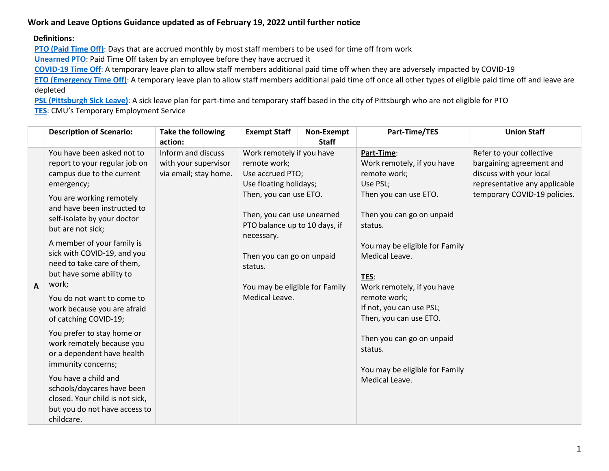# **Work and Leave Options Guidance updated as of February 19, 2022 until further notice**

#### **Definitions:**

**PTO [\(Paid Time Off\)](https://www.cmu.edu/hr/benefits/time-away/pto.html)**: Days that are accrued monthly by most staff members to be used for time off from work

**[Unearned](https://www.cmu.edu/hr/coronavirus/emergency-time-off.html) PTO**: Paid Time Off taken by an employee before they have accrued it

**[COVID-19 Time Off](https://www.cmu.edu/hr/coronavirus/emergency-time-off.html#covid-time-off)**: A temporary leave plan to allow staff members additional paid time off when they are adversely impacted by COVID-19

**ETO** [\(Emergency Time Off\)](https://www.cmu.edu/hr/coronavirus/emergency-time-off.html#eto): A temporary leave plan to allow staff members additional paid time off once all other types of eligible paid time off and leave are depleted

**PSL [\(Pittsburgh Sick](https://www.cmu.edu/hr/benefits/time-away/paid-sick-days.html) Leave)**: A sick leave plan for part-time and temporary staff based in the city of Pittsburgh who are not eligible for PTO

**[TES](https://www.cmu.edu/hr/career/managers/recruiting-staffing/tes.html)**: CMU's Temporary Employment Service

| <b>Description of Scenario:</b>                                                                                                                                                                                                                                                                                                                                                                                                                                                                                                                                                                                                                                                                         | <b>Take the following</b><br>action:                                | <b>Exempt Staff</b>                                                                                                                                                                                                                                                                        | Non-Exempt<br><b>Staff</b> | Part-Time/TES                                                                                                                                                                                                                                                                                                                                                                                     | <b>Union Staff</b>                                                                                                                               |
|---------------------------------------------------------------------------------------------------------------------------------------------------------------------------------------------------------------------------------------------------------------------------------------------------------------------------------------------------------------------------------------------------------------------------------------------------------------------------------------------------------------------------------------------------------------------------------------------------------------------------------------------------------------------------------------------------------|---------------------------------------------------------------------|--------------------------------------------------------------------------------------------------------------------------------------------------------------------------------------------------------------------------------------------------------------------------------------------|----------------------------|---------------------------------------------------------------------------------------------------------------------------------------------------------------------------------------------------------------------------------------------------------------------------------------------------------------------------------------------------------------------------------------------------|--------------------------------------------------------------------------------------------------------------------------------------------------|
| You have been asked not to<br>report to your regular job on<br>campus due to the current<br>emergency;<br>You are working remotely<br>and have been instructed to<br>self-isolate by your doctor<br>but are not sick;<br>A member of your family is<br>sick with COVID-19, and you<br>need to take care of them,<br>but have some ability to<br>work;<br>A<br>You do not want to come to<br>work because you are afraid<br>of catching COVID-19;<br>You prefer to stay home or<br>work remotely because you<br>or a dependent have health<br>immunity concerns;<br>You have a child and<br>schools/daycares have been<br>closed. Your child is not sick,<br>but you do not have access to<br>childcare. | Inform and discuss<br>with your supervisor<br>via email; stay home. | Work remotely if you have<br>remote work;<br>Use accrued PTO;<br>Use floating holidays;<br>Then, you can use ETO.<br>Then, you can use unearned<br>PTO balance up to 10 days, if<br>necessary.<br>Then you can go on unpaid<br>status.<br>You may be eligible for Family<br>Medical Leave. |                            | Part-Time:<br>Work remotely, if you have<br>remote work;<br>Use PSL;<br>Then you can use ETO.<br>Then you can go on unpaid<br>status.<br>You may be eligible for Family<br>Medical Leave.<br>TES:<br>Work remotely, if you have<br>remote work;<br>If not, you can use PSL;<br>Then, you can use ETO.<br>Then you can go on unpaid<br>status.<br>You may be eligible for Family<br>Medical Leave. | Refer to your collective<br>bargaining agreement and<br>discuss with your local<br>representative any applicable<br>temporary COVID-19 policies. |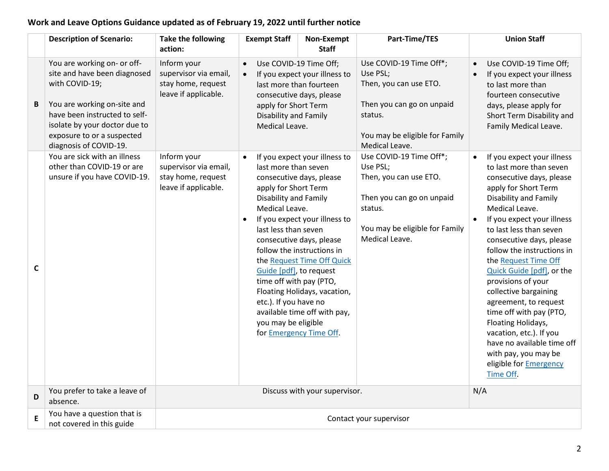# **Work and Leave Options Guidance updated as of February 19, 2022 until further notice**

|   | <b>Description of Scenario:</b>                                                                                                                                                                                                        | Take the following<br>action:                                                      | <b>Exempt Staff</b>                                                                                                                                                                                                   | Non-Exempt<br><b>Staff</b>                                                                                                                                                                                                                                                           | Part-Time/TES                                                                                                                                             | <b>Union Staff</b>                                                                                                                                                                                                                                                                                                                                                                                                                                                                                                                                                                                             |  |  |
|---|----------------------------------------------------------------------------------------------------------------------------------------------------------------------------------------------------------------------------------------|------------------------------------------------------------------------------------|-----------------------------------------------------------------------------------------------------------------------------------------------------------------------------------------------------------------------|--------------------------------------------------------------------------------------------------------------------------------------------------------------------------------------------------------------------------------------------------------------------------------------|-----------------------------------------------------------------------------------------------------------------------------------------------------------|----------------------------------------------------------------------------------------------------------------------------------------------------------------------------------------------------------------------------------------------------------------------------------------------------------------------------------------------------------------------------------------------------------------------------------------------------------------------------------------------------------------------------------------------------------------------------------------------------------------|--|--|
| B | You are working on- or off-<br>site and have been diagnosed<br>with COVID-19;<br>You are working on-site and<br>have been instructed to self-<br>isolate by your doctor due to<br>exposure to or a suspected<br>diagnosis of COVID-19. | Inform your<br>supervisor via email,<br>stay home, request<br>leave if applicable. | Use COVID-19 Time Off;<br>$\bullet$<br>If you expect your illness to<br>last more than fourteen<br>consecutive days, please<br>apply for Short Term<br>Disability and Family<br>Medical Leave.                        |                                                                                                                                                                                                                                                                                      | Use COVID-19 Time Off*;<br>Use PSL;<br>Then, you can use ETO.<br>Then you can go on unpaid<br>status.<br>You may be eligible for Family<br>Medical Leave. | Use COVID-19 Time Off;<br>$\bullet$<br>If you expect your illness<br>$\bullet$<br>to last more than<br>fourteen consecutive<br>days, please apply for<br>Short Term Disability and<br>Family Medical Leave.                                                                                                                                                                                                                                                                                                                                                                                                    |  |  |
| C | You are sick with an illness<br>other than COVID-19 or are<br>unsure if you have COVID-19.                                                                                                                                             | Inform your<br>supervisor via email,<br>stay home, request<br>leave if applicable. | last more than seven<br>apply for Short Term<br>Disability and Family<br>Medical Leave.<br>last less than seven<br>Guide [pdf], to request<br>time off with pay (PTO,<br>etc.). If you have no<br>you may be eligible | If you expect your illness to<br>consecutive days, please<br>If you expect your illness to<br>consecutive days, please<br>follow the instructions in<br>the Request Time Off Quick<br>Floating Holidays, vacation,<br>available time off with pay,<br>for <b>Emergency Time Off.</b> | Use COVID-19 Time Off*;<br>Use PSL;<br>Then, you can use ETO.<br>Then you can go on unpaid<br>status.<br>You may be eligible for Family<br>Medical Leave. | If you expect your illness<br>$\bullet$<br>to last more than seven<br>consecutive days, please<br>apply for Short Term<br>Disability and Family<br>Medical Leave.<br>If you expect your illness<br>$\bullet$<br>to last less than seven<br>consecutive days, please<br>follow the instructions in<br>the Request Time Off<br>Quick Guide [pdf], or the<br>provisions of your<br>collective bargaining<br>agreement, to request<br>time off with pay (PTO,<br>Floating Holidays,<br>vacation, etc.). If you<br>have no available time off<br>with pay, you may be<br>eligible for <b>Emergency</b><br>Time Off. |  |  |
| D | You prefer to take a leave of<br>absence.                                                                                                                                                                                              |                                                                                    | N/A                                                                                                                                                                                                                   |                                                                                                                                                                                                                                                                                      |                                                                                                                                                           |                                                                                                                                                                                                                                                                                                                                                                                                                                                                                                                                                                                                                |  |  |
| E | You have a question that is<br>not covered in this guide                                                                                                                                                                               | Contact your supervisor                                                            |                                                                                                                                                                                                                       |                                                                                                                                                                                                                                                                                      |                                                                                                                                                           |                                                                                                                                                                                                                                                                                                                                                                                                                                                                                                                                                                                                                |  |  |